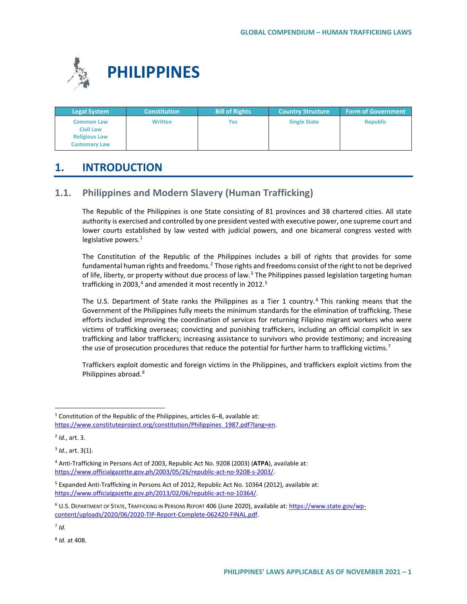

| <b>Legal System</b>                   | <b>Constitution</b> | <b>Bill of Rights</b> | <b>Country Structure</b> | <b>Form of Government</b> |
|---------------------------------------|---------------------|-----------------------|--------------------------|---------------------------|
| <b>Common Law</b><br><b>Civil Law</b> | <b>Written</b>      | Yes                   | <b>Single State</b>      | <b>Republic</b>           |
| <b>Religious Law</b>                  |                     |                       |                          |                           |
| <b>Customary Law</b>                  |                     |                       |                          |                           |

# **1. INTRODUCTION**

# **1.1. Philippines and Modern Slavery (Human Trafficking)**

The Republic of the Philippines is one State consisting of 81 provinces and 38 chartered cities. All state authority is exercised and controlled by one president vested with executive power, one supreme court and lower courts established by law vested with judicial powers, and one bicameral congress vested with legislative powers.<sup>[1](#page-0-0)</sup>

The Constitution of the Republic of the Philippines includes a bill of rights that provides for some fundamental human rights and freedoms.<sup>[2](#page-0-1)</sup> Those rights and freedoms consist of the right to not be deprived of life, liberty, or property without due process of law. $3$  The Philippines passed legislation targeting human trafficking in 2003, $4$  and amended it most recently in 2012.<sup>5</sup>

The U.S. Department of State ranks the Philippines as a Tier 1 country.<sup>[6](#page-0-5)</sup> This ranking means that the Government of the Philippines fully meets the minimum standards for the elimination of trafficking. These efforts included improving the coordination of services for returning Filipino migrant workers who were victims of trafficking overseas; convicting and punishing traffickers, including an official complicit in sex trafficking and labor traffickers; increasing assistance to survivors who provide testimony; and increasing the use of prosecution procedures that reduce the potential for further harm to trafficking victims.<sup>[7](#page-0-6)</sup>

Traffickers exploit domestic and foreign victims in the Philippines, and traffickers exploit victims from the Philippines abroad.[8](#page-0-7)

<span id="page-0-0"></span><sup>&</sup>lt;sup>1</sup> Constitution of the Republic of the Philippines, articles 6-8, available at: [https://www.constituteproject.org/constitution/Philippines\\_1987.pdf?lang=en.](https://www.constituteproject.org/constitution/Philippines_1987.pdf?lang=en)

<span id="page-0-1"></span><sup>2</sup> *Id.*, art. 3.

<span id="page-0-2"></span><sup>3</sup> *Id.*, art. 3(1).

<span id="page-0-3"></span><sup>4</sup> Anti-Trafficking in Persons Act of 2003, Republic Act No. 9208 (2003) (**ATPA**), available at: [https://www.officialgazette.gov.ph/2003/05/26/republic-act-no-9208-s-2003/.](https://www.officialgazette.gov.ph/2003/05/26/republic-act-no-9208-s-2003/)

<span id="page-0-4"></span><sup>5</sup> Expanded Anti-Trafficking in Persons Act of 2012, Republic Act No. 10364 (2012), available at: [https://www.officialgazette.gov.ph/2013/02/06/republic-act-no-10364/.](https://www.officialgazette.gov.ph/2013/02/06/republic-act-no-10364/)

<span id="page-0-5"></span><sup>&</sup>lt;sup>6</sup> U.S. DEPARTMENT OF STATE, TRAFFICKING IN PERSONS REPORT 406 (June 2020), available at[: https://www.state.gov/wp](https://www.state.gov/wp-content/uploads/2020/06/2020-TIP-Report-Complete-062420-FINAL.pdf)[content/uploads/2020/06/2020-TIP-Report-Complete-062420-FINAL.pdf.](https://www.state.gov/wp-content/uploads/2020/06/2020-TIP-Report-Complete-062420-FINAL.pdf) 

<span id="page-0-6"></span><sup>7</sup> *Id.*

<span id="page-0-7"></span><sup>8</sup> *Id.* at 408.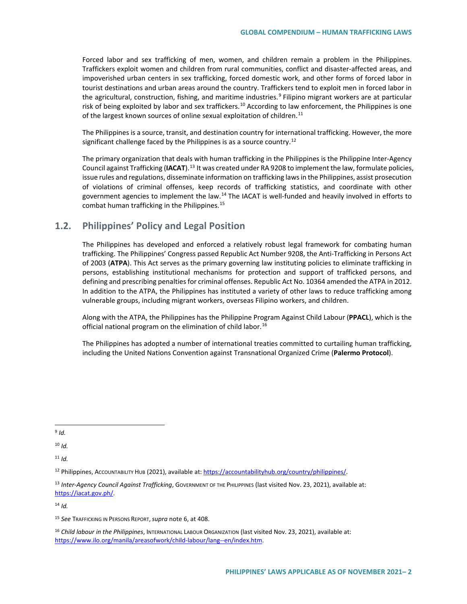Forced labor and sex trafficking of men, women, and children remain a problem in the Philippines. Traffickers exploit women and children from rural communities, conflict and disaster-affected areas, and impoverished urban centers in sex trafficking, forced domestic work, and other forms of forced labor in tourist destinations and urban areas around the country. Traffickers tend to exploit men in forced labor in the agricultural, construction, fishing, and maritime industries.<sup>[9](#page-1-0)</sup> Filipino migrant workers are at particular risk of being exploited by labor and sex traffickers.<sup>[10](#page-1-1)</sup> According to law enforcement, the Philippines is one of the largest known sources of online sexual exploitation of children.<sup>[11](#page-1-2)</sup>

The Philippines is a source, transit, and destination country for international trafficking. However, the more significant challenge faced by the Philippines is as a source country.<sup>[12](#page-1-3)</sup>

The primary organization that deals with human trafficking in the Philippines is the Philippine Inter-Agency Council against Trafficking (**IACAT**).[13](#page-1-4) It was created under RA 9208 to implement the law, formulate policies, issue rules and regulations, disseminate information on trafficking laws in the Philippines, assist prosecution of violations of criminal offenses, keep records of trafficking statistics, and coordinate with other government agencies to implement the law.<sup>[14](#page-1-5)</sup> The IACAT is well-funded and heavily involved in efforts to combat human trafficking in the Philippines.<sup>[15](#page-1-6)</sup>

## **1.2. Philippines' Policy and Legal Position**

The Philippines has developed and enforced a relatively robust legal framework for combating human trafficking. The Philippines' Congress passed Republic Act Number 9208, the Anti-Trafficking in Persons Act of 2003 (**ATPA**). This Act serves as the primary governing law instituting policies to eliminate trafficking in persons, establishing institutional mechanisms for protection and support of trafficked persons, and defining and prescribing penalties for criminal offenses. Republic Act No. 10364 amended the ATPA in 2012. In addition to the ATPA, the Philippines has instituted a variety of other laws to reduce trafficking among vulnerable groups, including migrant workers, overseas Filipino workers, and children.

Along with the ATPA, the Philippines has the Philippine Program Against Child Labour (**PPACL**), which is the official national program on the elimination of child labor.<sup>[16](#page-1-7)</sup>

The Philippines has adopted a number of international treaties committed to curtailing human trafficking, including the United Nations Convention against Transnational Organized Crime (**Palermo Protocol**).

<span id="page-1-1"></span> $10$  *Id.* 

<span id="page-1-2"></span><sup>11</sup> *Id.*

<span id="page-1-0"></span> $9$  *Id.* 

<span id="page-1-3"></span><sup>12</sup> Philippines, ACCOUNTABILITY HUB (2021), available at: [https://accountabilityhub.org/country/philippines/.](https://accountabilityhub.org/country/philippines/)

<span id="page-1-4"></span><sup>13</sup> *Inter-Agency Council Against Trafficking*, GOVERNMENT OF THE PHILIPPINES (last visited Nov. 23, 2021), available at: [https://iacat.gov.ph/.](https://iacat.gov.ph/)

<span id="page-1-6"></span><span id="page-1-5"></span><sup>15</sup> *See* TRAFFICKING IN PERSONS REPORT,*supra* note 6, at 408.

<span id="page-1-7"></span><sup>16</sup> *Child labour in the Philippines*, INTERNATIONAL LABOUR ORGANIZATION (last visited Nov. 23, 2021), available at: [https://www.ilo.org/manila/areasofwork/child-labour/lang--en/index.htm.](https://www.ilo.org/manila/areasofwork/child-labour/lang--en/index.htm)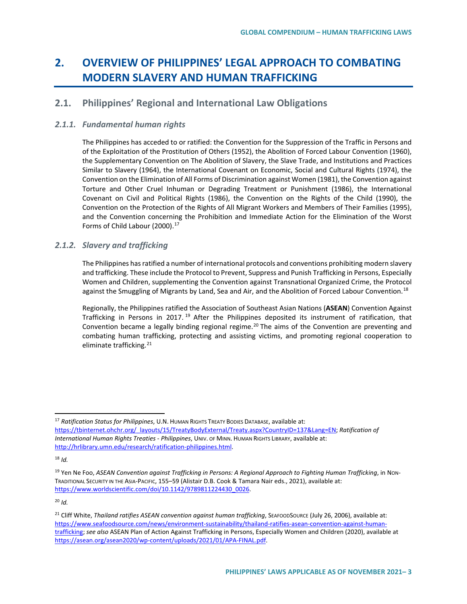# **2. OVERVIEW OF PHILIPPINES' LEGAL APPROACH TO COMBATING MODERN SLAVERY AND HUMAN TRAFFICKING**

# **2.1. Philippines' Regional and International Law Obligations**

## *2.1.1. Fundamental human rights*

The Philippines has acceded to or ratified: the Convention for the Suppression of the Traffic in Persons and of the Exploitation of the Prostitution of Others (1952), the Abolition of Forced Labour Convention (1960), the Supplementary Convention on The Abolition of Slavery, the Slave Trade, and Institutions and Practices Similar to Slavery (1964), the International Covenant on Economic, Social and Cultural Rights (1974), the Convention on the Elimination of All Forms of Discrimination against Women (1981), the Convention against Torture and Other Cruel Inhuman or Degrading Treatment or Punishment (1986), the International Covenant on Civil and Political Rights (1986), the Convention on the Rights of the Child (1990), the Convention on the Protection of the Rights of All Migrant Workers and Members of Their Families (1995), and the Convention concerning the Prohibition and Immediate Action for the Elimination of the Worst Forms of Child Labour (2000).<sup>[17](#page-2-0)</sup>

## *2.1.2. Slavery and trafficking*

The Philippines has ratified a number of international protocols and conventions prohibiting modern slavery and trafficking. These include the Protocol to Prevent, Suppress and Punish Trafficking in Persons, Especially Women and Children, supplementing the Convention against Transnational Organized Crime, the Protocol against the Smuggling of Migrants by Land, Sea and Air, and the Abolition of Forced Labour Convention.<sup>[18](#page-2-1)</sup>

Regionally, the Philippines ratified the Association of Southeast Asian Nations (**ASEAN**) Convention Against Trafficking in Persons in 2017.<sup>[19](#page-2-2)</sup> After the Philippines deposited its instrument of ratification, that Convention became a legally binding regional regime.<sup>20</sup> The aims of the Convention are preventing and combating human trafficking, protecting and assisting victims, and promoting regional cooperation to eliminate trafficking.<sup>[21](#page-2-4)</sup>

<span id="page-2-0"></span> <sup>17</sup> *Ratification Status for Philippines*, U.N. HUMAN RIGHTS TREATY BODIES DATABASE, available at: [https://tbinternet.ohchr.org/\\_layouts/15/TreatyBodyExternal/Treaty.aspx?CountryID=137&Lang=EN;](https://tbinternet.ohchr.org/_layouts/15/TreatyBodyExternal/Treaty.aspx?CountryID=137&Lang=EN) *Ratification of International Human Rights Treaties - Philippines*, UNIV. OF MINN. HUMAN RIGHTS LIBRARY, available at: [http://hrlibrary.umn.edu/research/ratification-philippines.html.](http://hrlibrary.umn.edu/research/ratification-philippines.html)

<span id="page-2-1"></span><sup>18</sup> *Id.*

<span id="page-2-2"></span><sup>19</sup> Yen Ne Foo, *ASEAN Convention against Trafficking in Persons: A Regional Approach to Fighting Human Trafficking*, in NON-TRADITIONAL SECURITY IN THE ASIA-PACIFIC, 155–59 (Alistair D.B. Cook & Tamara Nair eds., 2021), available at: [https://www.worldscientific.com/doi/10.1142/9789811224430\\_0026.](https://www.worldscientific.com/doi/10.1142/9789811224430_0026)

<span id="page-2-4"></span><span id="page-2-3"></span><sup>&</sup>lt;sup>21</sup> Cliff White, *Thailand ratifies ASEAN convention against human trafficking*, SEAFOODSOURCE (July 26, 2006), available at: [https://www.seafoodsource.com/news/environment-sustainability/thailand-ratifies-asean-convention-against-human](https://www.seafoodsource.com/news/environment-sustainability/thailand-ratifies-asean-convention-against-human-trafficking)[trafficking;](https://www.seafoodsource.com/news/environment-sustainability/thailand-ratifies-asean-convention-against-human-trafficking) *see also* ASEAN Plan of Action Against Trafficking in Persons, Especially Women and Children (2020), available at [https://asean.org/asean2020/wp-content/uploads/2021/01/APA-FINAL.pdf.](https://asean.org/asean2020/wp-content/uploads/2021/01/APA-FINAL.pdf)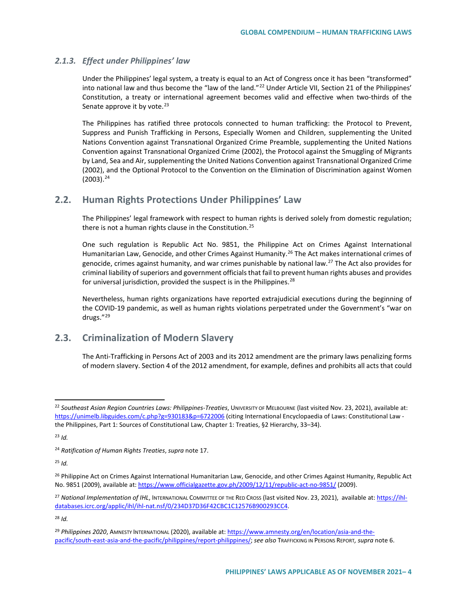### *2.1.3. Effect under Philippines' law*

Under the Philippines' legal system, a treaty is equal to an Act of Congress once it has been "transformed" into national law and thus become the "law of the land."<sup>[22](#page-3-0)</sup> Under Article VII, Section 21 of the Philippines' Constitution, a treaty or international agreement becomes valid and effective when two-thirds of the Senate approve it by vote. $^{23}$  $^{23}$  $^{23}$ 

The Philippines has ratified three protocols connected to human trafficking: the Protocol to Prevent, Suppress and Punish Trafficking in Persons, Especially Women and Children, supplementing the United Nations Convention against Transnational Organized Crime Preamble, supplementing the United Nations Convention against Transnational Organized Crime (2002), the Protocol against the Smuggling of Migrants by Land, Sea and Air, supplementing the United Nations Convention against Transnational Organized Crime (2002), and the Optional Protocol to the Convention on the Elimination of Discrimination against Women  $(2003).<sup>24</sup>$  $(2003).<sup>24</sup>$  $(2003).<sup>24</sup>$ 

## **2.2. Human Rights Protections Under Philippines' Law**

The Philippines' legal framework with respect to human rights is derived solely from domestic regulation; there is not a human rights clause in the Constitution.<sup>[25](#page-3-3)</sup>

One such regulation is Republic Act No. 9851, the Philippine Act on Crimes Against International Humanitarian Law, Genocide, and other Crimes Against Humanity.<sup>26</sup> The Act makes international crimes of genocide, crimes against humanity, and war crimes punishable by national law.<sup>[27](#page-3-5)</sup> The Act also provides for criminal liability of superiors and government officials that fail to prevent human rights abuses and provides for universal jurisdiction, provided the suspect is in the Philippines.<sup>[28](#page-3-6)</sup>

Nevertheless, human rights organizations have reported extrajudicial executions during the beginning of the COVID-19 pandemic, as well as human rights violations perpetrated under the Government's "war on drugs."[29](#page-3-7)

## **2.3. Criminalization of Modern Slavery**

The Anti-Trafficking in Persons Act of 2003 and its 2012 amendment are the primary laws penalizing forms of modern slavery. Section 4 of the 2012 amendment, for example, defines and prohibits all acts that could

<span id="page-3-3"></span><sup>25</sup> *Id.*

<span id="page-3-0"></span> <sup>22</sup> *Southeast Asian Region Countries Laws: Philippines-Treaties*, UNIVERSITY OF MELBOURNE (last visited Nov. 23, 2021), available at: <https://unimelb.libguides.com/c.php?g=930183&p=6722006> (citing International Encyclopaedia of Laws: Constitutional Law the Philippines, Part 1: Sources of Constitutional Law, Chapter 1: Treaties, §2 Hierarchy, 33–34).

<span id="page-3-1"></span><sup>23</sup> *Id.*

<span id="page-3-2"></span><sup>24</sup> *Ratification of Human Rights Treaties*, *supra* note 17.

<span id="page-3-4"></span><sup>&</sup>lt;sup>26</sup> Philippine Act on Crimes Against International Humanitarian Law, Genocide, and other Crimes Against Humanity, Republic Act No. 9851 (2009), available at[: https://www.officialgazette.gov.ph/2009/12/11/republic-act-no-9851/](https://www.officialgazette.gov.ph/2009/12/11/republic-act-no-9851/) (2009).

<span id="page-3-5"></span><sup>27</sup> *National Implementation of IHL*, INTERNATIONAL COMMITTEE OF THE RED CROSS (last visited Nov. 23, 2021), [available at: https://ihl](https://ihl-databases.icrc.org/applic/ihl/ihl-nat.nsf/0/234D37D36F42CBC1C12576B900293CC4)[databases.icrc.org/applic/ihl/ihl-nat.nsf/0/234D37D36F42CBC1C12576B900293CC4.](https://ihl-databases.icrc.org/applic/ihl/ihl-nat.nsf/0/234D37D36F42CBC1C12576B900293CC4)

<span id="page-3-7"></span><span id="page-3-6"></span><sup>29</sup> *Philippines 2020*, AMNESTY INTERNATIONAL (2020), available at[: https://www.amnesty.org/en/location/asia-and-the](https://www.amnesty.org/en/location/asia-and-the-pacific/south-east-asia-and-the-pacific/philippines/report-philippines/)[pacific/south-east-asia-and-the-pacific/philippines/report-philippines/;](https://www.amnesty.org/en/location/asia-and-the-pacific/south-east-asia-and-the-pacific/philippines/report-philippines/) *see also* TRAFFICKING IN PERSONS REPORT*, supra* note 6.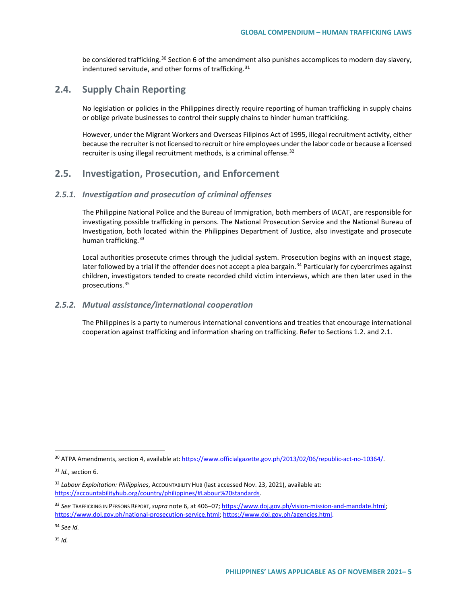be considered trafficking.<sup>[30](#page-4-0)</sup> Section 6 of the amendment also punishes accomplices to modern day slavery, indentured servitude, and other forms of trafficking.<sup>[31](#page-4-1)</sup>

## **2.4. Supply Chain Reporting**

No legislation or policies in the Philippines directly require reporting of human trafficking in supply chains or oblige private businesses to control their supply chains to hinder human trafficking.

However, under the Migrant Workers and Overseas Filipinos Act of 1995, illegal recruitment activity, either because the recruiter is not licensed to recruit or hire employees under the labor code or because a licensed recruiter is using illegal recruitment methods, is a criminal offense.<sup>[32](#page-4-2)</sup>

## **2.5. Investigation, Prosecution, and Enforcement**

#### *2.5.1. Investigation and prosecution of criminal offenses*

The Philippine National Police and the Bureau of Immigration, both members of IACAT, are responsible for investigating possible trafficking in persons. The National Prosecution Service and the National Bureau of Investigation, both located within the Philippines Department of Justice, also investigate and prosecute human trafficking. [33](#page-4-3)

Local authorities prosecute crimes through the judicial system. Prosecution begins with an inquest stage, later followed by a trial if the offender does not accept a plea bargain.<sup>[34](#page-4-4)</sup> Particularly for cybercrimes against children, investigators tended to create recorded child victim interviews, which are then later used in the prosecutions.[35](#page-4-5)

#### *2.5.2. Mutual assistance/international cooperation*

The Philippines is a party to numerous international conventions and treaties that encourage international cooperation against trafficking and information sharing on trafficking. Refer to Sections 1.2. and 2.1.

<span id="page-4-0"></span> <sup>30</sup> ATPA Amendments, section 4, available at[: https://www.officialgazette.gov.ph/2013/02/06/republic-act-no-10364/.](https://www.officialgazette.gov.ph/2013/02/06/republic-act-no-10364/)

<span id="page-4-1"></span><sup>31</sup> *Id.*, section 6.

<span id="page-4-2"></span><sup>&</sup>lt;sup>32</sup> Labour Exploitation: Philippines, Accountability Hub (last accessed Nov. 23, 2021), available at: [https://accountabilityhub.org/country/philippines/#Labour%20standards.](https://accountabilityhub.org/country/philippines/#Labour%20standards)

<span id="page-4-3"></span><sup>33</sup> *See* TRAFFICKING IN PERSONS REPORT,*supra* note 6, at 406–07; [https://www.doj.gov.ph/vision-mission-and-mandate.html;](https://www.doj.gov.ph/vision-mission-and-mandate.html) [https://www.doj.gov.ph/national-prosecution-service.html;](https://www.doj.gov.ph/national-prosecution-service.html) [https://www.doj.gov.ph/agencies.html.](https://www.doj.gov.ph/agencies.html)

<span id="page-4-5"></span><span id="page-4-4"></span><sup>34</sup> *See id.*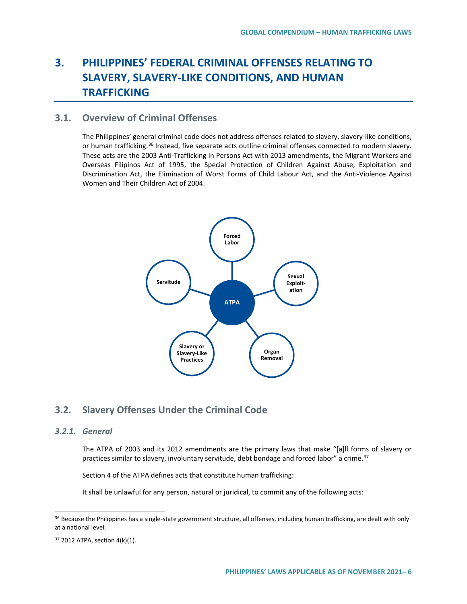# **3. PHILIPPINES' FEDERAL CRIMINAL OFFENSES RELATING TO SLAVERY, SLAVERY-LIKE CONDITIONS, AND HUMAN TRAFFICKING**

## **3.1. Overview of Criminal Offenses**

The Philippines' general criminal code does not address offenses related to slavery, slavery-like conditions, or human trafficking.<sup>[36](#page-5-0)</sup> Instead, five separate acts outline criminal offenses connected to modern slavery. These acts are the 2003 Anti-Trafficking in Persons Act with 2013 amendments, the Migrant Workers and Overseas Filipinos Act of 1995, the Special Protection of Children Against Abuse, Exploitation and Discrimination Act, the Elimination of Worst Forms of Child Labour Act, and the Anti-Violence Against Women and Their Children Act of 2004.



## **3.2. Slavery Offenses Under the Criminal Code**

#### *3.2.1. General*

The ATPA of 2003 and its 2012 amendments are the primary laws that make "[a]ll forms of slavery or practices similar to slavery, involuntary servitude, debt bondage and forced labor" a crime. $37$ 

Section 4 of the ATPA defines acts that constitute human trafficking:

It shall be unlawful for any person, natural or juridical, to commit any of the following acts:

<span id="page-5-0"></span><sup>&</sup>lt;sup>36</sup> Because the Philippines has a single-state government structure, all offenses, including human trafficking, are dealt with only at a national level.

<span id="page-5-1"></span><sup>37</sup> 2012 ATPA, section 4(k)(1).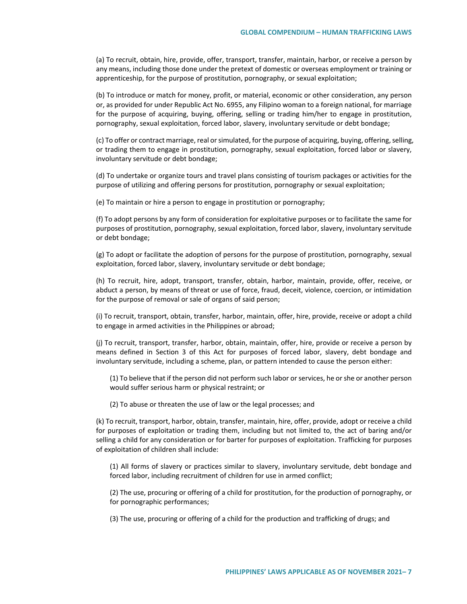(a) To recruit, obtain, hire, provide, offer, transport, transfer, maintain, harbor, or receive a person by any means, including those done under the pretext of domestic or overseas employment or training or apprenticeship, for the purpose of prostitution, pornography, or sexual exploitation;

(b) To introduce or match for money, profit, or material, economic or other consideration, any person or, as provided for under Republic Act No. 6955, any Filipino woman to a foreign national, for marriage for the purpose of acquiring, buying, offering, selling or trading him/her to engage in prostitution, pornography, sexual exploitation, forced labor, slavery, involuntary servitude or debt bondage;

(c) To offer or contract marriage, real or simulated, for the purpose of acquiring, buying, offering, selling, or trading them to engage in prostitution, pornography, sexual exploitation, forced labor or slavery, involuntary servitude or debt bondage;

(d) To undertake or organize tours and travel plans consisting of tourism packages or activities for the purpose of utilizing and offering persons for prostitution, pornography or sexual exploitation;

(e) To maintain or hire a person to engage in prostitution or pornography;

(f) To adopt persons by any form of consideration for exploitative purposes or to facilitate the same for purposes of prostitution, pornography, sexual exploitation, forced labor, slavery, involuntary servitude or debt bondage;

(g) To adopt or facilitate the adoption of persons for the purpose of prostitution, pornography, sexual exploitation, forced labor, slavery, involuntary servitude or debt bondage;

(h) To recruit, hire, adopt, transport, transfer, obtain, harbor, maintain, provide, offer, receive, or abduct a person, by means of threat or use of force, fraud, deceit, violence, coercion, or intimidation for the purpose of removal or sale of organs of said person;

(i) To recruit, transport, obtain, transfer, harbor, maintain, offer, hire, provide, receive or adopt a child to engage in armed activities in the Philippines or abroad;

(j) To recruit, transport, transfer, harbor, obtain, maintain, offer, hire, provide or receive a person by means defined in Section 3 of this Act for purposes of forced labor, slavery, debt bondage and involuntary servitude, including a scheme, plan, or pattern intended to cause the person either:

(1) To believe that if the person did not perform such labor or services, he orshe or another person would suffer serious harm or physical restraint; or

(2) To abuse or threaten the use of law or the legal processes; and

(k) To recruit, transport, harbor, obtain, transfer, maintain, hire, offer, provide, adopt or receive a child for purposes of exploitation or trading them, including but not limited to, the act of baring and/or selling a child for any consideration or for barter for purposes of exploitation. Trafficking for purposes of exploitation of children shall include:

(1) All forms of slavery or practices similar to slavery, involuntary servitude, debt bondage and forced labor, including recruitment of children for use in armed conflict;

(2) The use, procuring or offering of a child for prostitution, for the production of pornography, or for pornographic performances;

(3) The use, procuring or offering of a child for the production and trafficking of drugs; and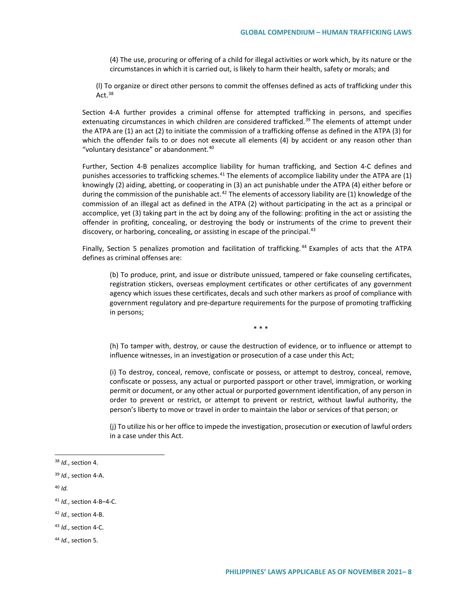(4) The use, procuring or offering of a child for illegal activities or work which, by its nature or the circumstances in which it is carried out, is likely to harm their health, safety or morals; and

(l) To organize or direct other persons to commit the offenses defined as acts of trafficking under this Act. $38$ 

Section 4-A further provides a criminal offense for attempted trafficking in persons, and specifies extenuating circumstances in which children are considered trafficked.<sup>[39](#page-7-1)</sup> The elements of attempt under the ATPA are (1) an act (2) to initiate the commission of a trafficking offense as defined in the ATPA (3) for which the offender fails to or does not execute all elements (4) by accident or any reason other than "voluntary desistance" or abandonment. $40$ 

Further, Section 4-B penalizes accomplice liability for human trafficking, and Section 4-C defines and punishes accessories to trafficking schemes.<sup>[41](#page-7-3)</sup> The elements of accomplice liability under the ATPA are (1) knowingly (2) aiding, abetting, or cooperating in (3) an act punishable under the ATPA (4) either before or during the commission of the punishable act.<sup>[42](#page-7-4)</sup> The elements of accessory liability are (1) knowledge of the commission of an illegal act as defined in the ATPA (2) without participating in the act as a principal or accomplice, yet (3) taking part in the act by doing any of the following: profiting in the act or assisting the offender in profiting, concealing, or destroying the body or instruments of the crime to prevent their discovery, or harboring, concealing, or assisting in escape of the principal.  $43$ 

Finally, Section 5 penalizes promotion and facilitation of trafficking. [44](#page-7-6) Examples of acts that the ATPA defines as criminal offenses are:

(b) To produce, print, and issue or distribute unissued, tampered or fake counseling certificates, registration stickers, overseas employment certificates or other certificates of any government agency which issues these certificates, decals and such other markers as proof of compliance with government regulatory and pre-departure requirements for the purpose of promoting trafficking in persons;

\* \* \*

(h) To tamper with, destroy, or cause the destruction of evidence, or to influence or attempt to influence witnesses, in an investigation or prosecution of a case under this Act;

(i) To destroy, conceal, remove, confiscate or possess, or attempt to destroy, conceal, remove, confiscate or possess, any actual or purported passport or other travel, immigration, or working permit or document, or any other actual or purported government identification, of any person in order to prevent or restrict, or attempt to prevent or restrict, without lawful authority, the person's liberty to move or travel in order to maintain the labor or services of that person; or

(j) To utilize his or her office to impede the investigation, prosecution or execution of lawful orders in a case under this Act.

- <span id="page-7-4"></span><sup>42</sup> *Id.*, section 4-B.
- <span id="page-7-5"></span><sup>43</sup> *Id.*, section 4-C.

<span id="page-7-0"></span> <sup>38</sup> *Id.*, section 4.

<span id="page-7-2"></span><span id="page-7-1"></span><sup>39</sup> *Id.*, section 4-A.

<span id="page-7-3"></span><sup>41</sup> *Id.*, section 4-B–4-C.

<span id="page-7-6"></span><sup>44</sup> *Id.*, section 5.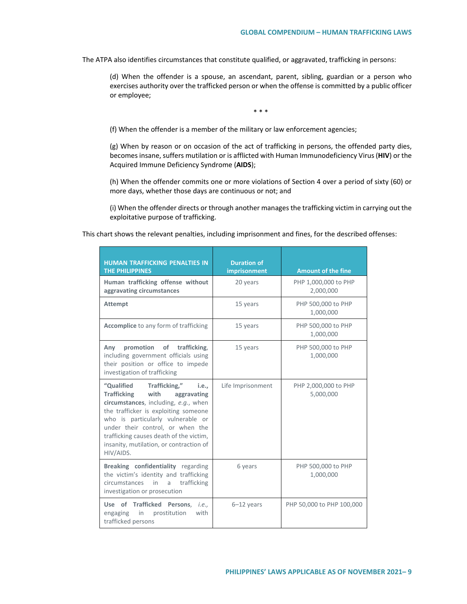The ATPA also identifies circumstances that constitute qualified, or aggravated, trafficking in persons:

(d) When the offender is a spouse, an ascendant, parent, sibling, guardian or a person who exercises authority over the trafficked person or when the offense is committed by a public officer or employee;

\* \* \*

(f) When the offender is a member of the military or law enforcement agencies;

(g) When by reason or on occasion of the act of trafficking in persons, the offended party dies, becomes insane, suffers mutilation or is afflicted with Human Immunodeficiency Virus (**HIV**) or the Acquired Immune Deficiency Syndrome (**AIDS**);

(h) When the offender commits one or more violations of Section 4 over a period of sixty (60) or more days, whether those days are continuous or not; and

(i) When the offender directs or through another manages the trafficking victim in carrying out the exploitative purpose of trafficking.

This chart shows the relevant penalties, including imprisonment and fines, for the described offenses:

| <b>HUMAN TRAFFICKING PENALTIES IN</b><br><b>THE PHILIPPINES</b>                                                                                                                                                                                                                                                                                    | <b>Duration of</b><br><b>imprisonment</b> | <b>Amount of the fine</b>         |
|----------------------------------------------------------------------------------------------------------------------------------------------------------------------------------------------------------------------------------------------------------------------------------------------------------------------------------------------------|-------------------------------------------|-----------------------------------|
| Human trafficking offense without<br>aggravating circumstances                                                                                                                                                                                                                                                                                     | 20 years                                  | PHP 1,000,000 to PHP<br>2,000,000 |
| <b>Attempt</b>                                                                                                                                                                                                                                                                                                                                     | 15 years                                  | PHP 500,000 to PHP<br>1,000,000   |
| <b>Accomplice</b> to any form of trafficking                                                                                                                                                                                                                                                                                                       | 15 years                                  | PHP 500,000 to PHP<br>1,000,000   |
| promotion<br>of<br>trafficking,<br>Anv<br>including government officials using<br>their position or office to impede<br>investigation of trafficking                                                                                                                                                                                               | 15 years                                  | PHP 500,000 to PHP<br>1,000,000   |
| "Qualified<br>Trafficking,"<br><i>i.e</i><br><b>Trafficking</b><br>with<br>aggravating<br>circumstances, including, e.g., when<br>the trafficker is exploiting someone<br>who is particularly vulnerable or<br>under their control, or when the<br>trafficking causes death of the victim,<br>insanity, mutilation, or contraction of<br>HIV/AIDS. | Life Imprisonment                         | PHP 2,000,000 to PHP<br>5,000,000 |
| Breaking confidentiality regarding<br>the victim's identity and trafficking<br><i>circumstances</i><br>trafficking<br>in<br>a<br>investigation or prosecution                                                                                                                                                                                      | 6 years                                   | PHP 500,000 to PHP<br>1,000,000   |
| Use of Trafficked Persons,<br><i>i.e</i><br>prostitution<br>engaging<br>in<br>with<br>trafficked persons                                                                                                                                                                                                                                           | $6-12$ years                              | PHP 50,000 to PHP 100,000         |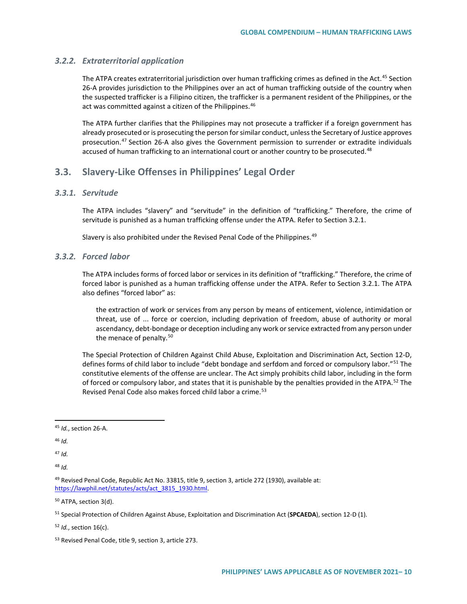#### *3.2.2. Extraterritorial application*

The ATPA creates extraterritorial jurisdiction over human trafficking crimes as defined in the Act.<sup>[45](#page-9-0)</sup> Section 26-A provides jurisdiction to the Philippines over an act of human trafficking outside of the country when the suspected trafficker is a Filipino citizen, the trafficker is a permanent resident of the Philippines, or the act was committed against a citizen of the Philippines.<sup>[46](#page-9-1)</sup>

The ATPA further clarifies that the Philippines may not prosecute a trafficker if a foreign government has already prosecuted or is prosecuting the person for similar conduct, unless the Secretary of Justice approves prosecution.<sup>[47](#page-9-2)</sup> Section 26-A also gives the Government permission to surrender or extradite individuals accused of human trafficking to an international court or another country to be prosecuted.<sup>[48](#page-9-3)</sup>

## **3.3. Slavery-Like Offenses in Philippines' Legal Order**

## *3.3.1. Servitude*

The ATPA includes "slavery" and "servitude" in the definition of "trafficking." Therefore, the crime of servitude is punished as a human trafficking offense under the ATPA. Refer to Section 3.2.1.

Slavery is also prohibited under the Revised Penal Code of the Philippines.<sup>[49](#page-9-4)</sup>

#### *3.3.2. Forced labor*

The ATPA includes forms of forced labor or services in its definition of "trafficking." Therefore, the crime of forced labor is punished as a human trafficking offense under the ATPA. Refer to Section 3.2.1. The ATPA also defines "forced labor" as:

the extraction of work or services from any person by means of enticement, violence, intimidation or threat, use of ... force or coercion, including deprivation of freedom, abuse of authority or moral ascendancy, debt-bondage or deception including any work or service extracted from any person under the menace of penalty.<sup>[50](#page-9-5)</sup>

The Special Protection of Children Against Child Abuse, Exploitation and Discrimination Act, Section 12-D, defines forms of child labor to include "debt bondage and serfdom and forced or compulsory labor."<sup>[51](#page-9-6)</sup> The constitutive elements of the offense are unclear. The Act simply prohibits child labor, including in the form of forced or compulsory labor, and states that it is punishable by the penalties provided in the ATPA.<sup>[52](#page-9-7)</sup> The Revised Penal Code also makes forced child labor a crime.<sup>[53](#page-9-8)</sup>

<span id="page-9-2"></span><sup>47</sup> *Id.*

<span id="page-9-3"></span><sup>48</sup> *Id.*

<span id="page-9-5"></span><sup>50</sup> ATPA, section 3(d).

<span id="page-9-7"></span><sup>52</sup> *Id.*, section 16(c).

<span id="page-9-0"></span> <sup>45</sup> *Id.*, section 26-A.

<span id="page-9-1"></span><sup>46</sup> *Id.*

<span id="page-9-4"></span><sup>49</sup> Revised Penal Code, Republic Act No. 33815, title 9, section 3, article 272 (1930), available at: [https://lawphil.net/statutes/acts/act\\_3815\\_1930.html.](https://lawphil.net/statutes/acts/act_3815_1930.html)

<span id="page-9-6"></span><sup>51</sup> Special Protection of Children Against Abuse, Exploitation and Discrimination Act (**SPCAEDA**), section 12-D (1).

<span id="page-9-8"></span><sup>53</sup> Revised Penal Code, title 9, section 3, article 273.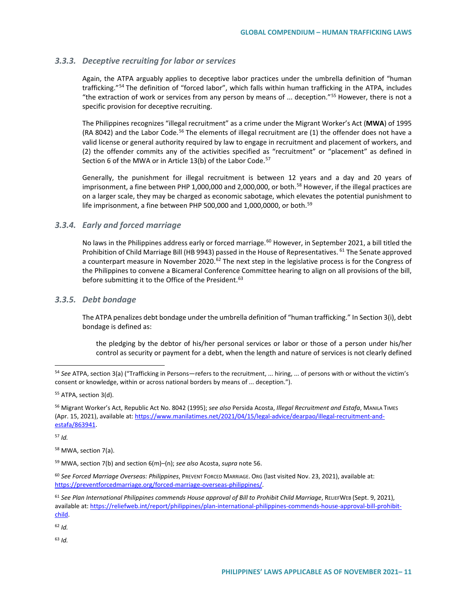#### *3.3.3. Deceptive recruiting for labor or services*

Again, the ATPA arguably applies to deceptive labor practices under the umbrella definition of "human trafficking."[54](#page-10-0) The definition of "forced labor", which falls within human trafficking in the ATPA, includes "the extraction of work or services from any person by means of ... deception."[55](#page-10-1) However, there is not a specific provision for deceptive recruiting.

The Philippines recognizes "illegal recruitment" as a crime under the Migrant Worker's Act (**MWA**) of 1995 (RA 8042) and the Labor Code.<sup>[56](#page-10-2)</sup> The elements of illegal recruitment are  $(1)$  the offender does not have a valid license or general authority required by law to engage in recruitment and placement of workers, and (2) the offender commits any of the activities specified as "recruitment" or "placement" as defined in Section 6 of the MWA or in Article  $13(b)$  of the Labor Code.<sup>[57](#page-10-3)</sup>

Generally, the punishment for illegal recruitment is between 12 years and a day and 20 years of imprisonment, a fine between PHP 1,000,000 and 2,000,000, or both.<sup>[58](#page-10-4)</sup> However, if the illegal practices are on a larger scale, they may be charged as economic sabotage, which elevates the potential punishment to life imprisonment, a fine between PHP 500,000 and 1,000,0000, or both.<sup>[59](#page-10-5)</sup>

### *3.3.4. Early and forced marriage*

No laws in the Philippines address early or forced marriage.<sup>[60](#page-10-6)</sup> However, in September 2021, a bill titled the Prohibition of Child Marriage Bill (HB 9943) passed in the House of Representatives. <sup>[61](#page-10-7)</sup> The Senate approved a counterpart measure in November 2020.<sup>[62](#page-10-8)</sup> The next step in the legislative process is for the Congress of the Philippines to convene a Bicameral Conference Committee hearing to align on all provisions of the bill, before submitting it to the Office of the President.<sup>[63](#page-10-9)</sup>

#### *3.3.5. Debt bondage*

The ATPA penalizes debt bondage under the umbrella definition of "human trafficking." In Section 3(i), debt bondage is defined as:

the pledging by the debtor of his/her personal services or labor or those of a person under his/her control as security or payment for a debt, when the length and nature of services is not clearly defined

<span id="page-10-3"></span><sup>57</sup> *Id.*

<span id="page-10-9"></span><span id="page-10-8"></span><sup>62</sup> *Id.*

<span id="page-10-0"></span> <sup>54</sup> *See* ATPA, section 3(a) ("Trafficking in Persons—refers to the recruitment, ... hiring, ... of persons with or without the victim's consent or knowledge, within or across national borders by means of ... deception.").

<span id="page-10-1"></span><sup>55</sup> ATPA, section 3(d).

<span id="page-10-2"></span><sup>56</sup> Migrant Worker's Act, Republic Act No. 8042 (1995); *see also* Persida Acosta, *Illegal Recruitment and Estafa*, MANILA TIMES (Apr. 15, 2021), available at: [https://www.manilatimes.net/2021/04/15/legal-advice/dearpao/illegal-recruitment-and](https://www.manilatimes.net/2021/04/15/legal-advice/dearpao/illegal-recruitment-and-estafa/863941)[estafa/863941.](https://www.manilatimes.net/2021/04/15/legal-advice/dearpao/illegal-recruitment-and-estafa/863941)

<span id="page-10-4"></span><sup>58</sup> MWA, section 7(a).

<span id="page-10-5"></span><sup>59</sup> MWA, section 7(b) and section 6(m)–(n); *see also* Acosta, *supra* note 56.

<span id="page-10-6"></span><sup>60</sup> *See Forced Marriage Overseas: Philippines*, PREVENT FORCED MARRIAGE. ORG (last visited Nov. 23, 2021), available at: [https://preventforcedmarriage.org/forced-marriage-overseas-philippines/.](https://preventforcedmarriage.org/forced-marriage-overseas-philippines/)

<span id="page-10-7"></span><sup>61</sup> *See Plan International Philippines commends House approval of Bill to Prohibit Child Marriage*, RELIEFWEB (Sept. 9, 2021), available at[: https://reliefweb.int/report/philippines/plan-international-philippines-commends-house-approval-bill-prohibit](https://reliefweb.int/report/philippines/plan-international-philippines-commends-house-approval-bill-prohibit-child)[child.](https://reliefweb.int/report/philippines/plan-international-philippines-commends-house-approval-bill-prohibit-child)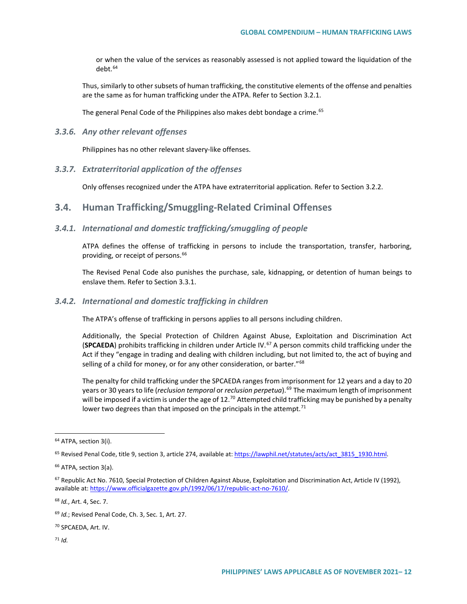or when the value of the services as reasonably assessed is not applied toward the liquidation of the debt.[64](#page-11-0)

Thus, similarly to other subsets of human trafficking, the constitutive elements of the offense and penalties are the same as for human trafficking under the ATPA. Refer to Section 3.2.1.

The general Penal Code of the Philippines also makes debt bondage a crime.<sup>[65](#page-11-1)</sup>

#### *3.3.6. Any other relevant offenses*

Philippines has no other relevant slavery-like offenses.

#### *3.3.7. Extraterritorial application of the offenses*

Only offenses recognized under the ATPA have extraterritorial application. Refer to Section 3.2.2.

## **3.4. Human Trafficking/Smuggling-Related Criminal Offenses**

### *3.4.1. International and domestic trafficking/smuggling of people*

ATPA defines the offense of trafficking in persons to include the transportation, transfer, harboring, providing, or receipt of persons.<sup>[66](#page-11-2)</sup>

The Revised Penal Code also punishes the purchase, sale, kidnapping, or detention of human beings to enslave them. Refer to Section 3.3.1.

#### *3.4.2. International and domestic trafficking in children*

The ATPA's offense of trafficking in persons applies to all persons including children.

Additionally, the Special Protection of Children Against Abuse, Exploitation and Discrimination Act (**SPCAEDA**) prohibits trafficking in children under Article IV.[67](#page-11-3) A person commits child trafficking under the Act if they "engage in trading and dealing with children including, but not limited to, the act of buying and selling of a child for money, or for any other consideration, or barter."<sup>[68](#page-11-4)</sup>

The penalty for child trafficking under the SPCAEDA ranges from imprisonment for 12 years and a day to 20 years or 30 years to life (*reclusion temporal* or *reclusion perpetua*).[69](#page-11-5) The maximum length of imprisonment will be imposed if a victim is under the age of  $12^{70}$  $12^{70}$  $12^{70}$  Attempted child trafficking may be punished by a penalty lower two degrees than that imposed on the principals in the attempt.<sup>[71](#page-11-7)</sup>

<span id="page-11-4"></span><sup>68</sup> *Id.*, Art. 4, Sec. 7.

<span id="page-11-7"></span><span id="page-11-6"></span><sup>70</sup> SPCAEDA, Art. IV.

<span id="page-11-0"></span><sup>&</sup>lt;sup>64</sup> ATPA, section 3(i).

<span id="page-11-1"></span><sup>&</sup>lt;sup>65</sup> Revised Penal Code, title 9, section 3, article 274, available at[: https://lawphil.net/statutes/acts/act\\_3815\\_1930.html.](https://lawphil.net/statutes/acts/act_3815_1930.html)

<span id="page-11-2"></span><sup>66</sup> ATPA, section 3(a).

<span id="page-11-3"></span><sup>&</sup>lt;sup>67</sup> Republic Act No. 7610, Special Protection of Children Against Abuse, Exploitation and Discrimination Act, Article IV (1992), available at[: https://www.officialgazette.gov.ph/1992/06/17/republic-act-no-7610/.](https://www.officialgazette.gov.ph/1992/06/17/republic-act-no-7610/)

<span id="page-11-5"></span><sup>69</sup> *Id.*; Revised Penal Code, Ch. 3, Sec. 1, Art. 27.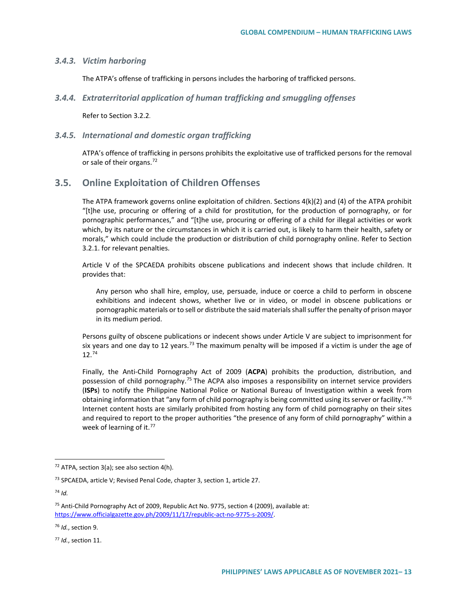#### *3.4.3. Victim harboring*

The ATPA's offense of trafficking in persons includes the harboring of trafficked persons.

*3.4.4. Extraterritorial application of human trafficking and smuggling offenses*

Refer to Section 3.2.2.

#### *3.4.5. International and domestic organ trafficking*

ATPA's offence of trafficking in persons prohibits the exploitative use of trafficked persons for the removal or sale of their organs.<sup>[72](#page-12-0)</sup>

## **3.5. Online Exploitation of Children Offenses**

The ATPA framework governs online exploitation of children. Sections 4(k)(2) and (4) of the ATPA prohibit "[t]he use, procuring or offering of a child for prostitution, for the production of pornography, or for pornographic performances," and "[t]he use, procuring or offering of a child for illegal activities or work which, by its nature or the circumstances in which it is carried out, is likely to harm their health, safety or morals," which could include the production or distribution of child pornography online. Refer to Section 3.2.1. for relevant penalties.

Article V of the SPCAEDA prohibits obscene publications and indecent shows that include children. It provides that:

Any person who shall hire, employ, use, persuade, induce or coerce a child to perform in obscene exhibitions and indecent shows, whether live or in video, or model in obscene publications or pornographic materials or to sell or distribute the said materials shall suffer the penalty of prison mayor in its medium period.

Persons guilty of obscene publications or indecent shows under Article V are subject to imprisonment for six years and one day to 12 years.<sup>[73](#page-12-1)</sup> The maximum penalty will be imposed if a victim is under the age of 12.[74](#page-12-2)

Finally, the Anti-Child Pornography Act of 2009 (**ACPA**) prohibits the production, distribution, and possession of child pornography.[75](#page-12-3) The ACPA also imposes a responsibility on internet service providers (**ISPs**) to notify the Philippine National Police or National Bureau of Investigation within a week from obtaining information that "any form of child pornography is being committed using its server or facility."<sup>[76](#page-12-4)</sup> Internet content hosts are similarly prohibited from hosting any form of child pornography on their sites and required to report to the proper authorities "the presence of any form of child pornography" within a week of learning of it.<sup>[77](#page-12-5)</sup>

<span id="page-12-0"></span> $72$  ATPA, section 3(a); see also section 4(h).

<span id="page-12-1"></span><sup>&</sup>lt;sup>73</sup> SPCAEDA, article V; Revised Penal Code, chapter 3, section 1, article 27.

<span id="page-12-2"></span><sup>74</sup> *Id.*

<span id="page-12-3"></span><sup>75</sup> Anti-Child Pornography Act of 2009, Republic Act No. 9775, section 4 (2009), available at: [https://www.officialgazette.gov.ph/2009/11/17/republic-act-no-9775-s-2009/.](https://www.officialgazette.gov.ph/2009/11/17/republic-act-no-9775-s-2009/)

<span id="page-12-4"></span><sup>76</sup> *Id.*, section 9.

<span id="page-12-5"></span><sup>77</sup> *Id.*, section 11.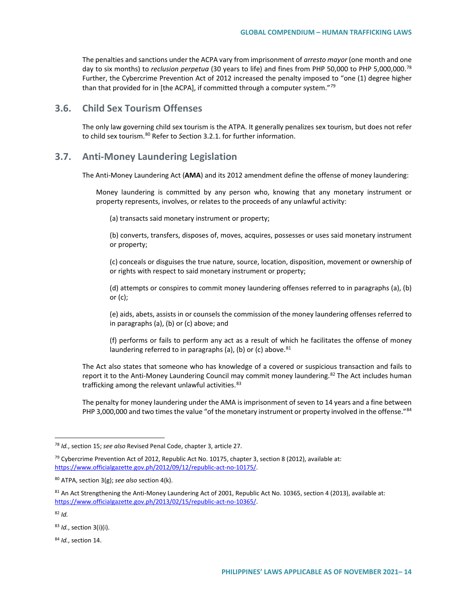The penalties and sanctions under the ACPA vary from imprisonment of *arresto mayor* (one month and one day to six months) to *reclusion perpetua* (30 years to life) and fines from PHP 50,000 to PHP 5,000,000.[78](#page-13-0) Further, the Cybercrime Prevention Act of 2012 increased the penalty imposed to "one (1) degree higher than that provided for in [the ACPA], if committed through a computer system."<sup>[79](#page-13-1)</sup>

## **3.6. Child Sex Tourism Offenses**

The only law governing child sex tourism is the ATPA. It generally penalizes sex tourism, but does not refer to child sex tourism.<sup>[80](#page-13-2)</sup> Refer to Section 3.2.1. for further information.

## **3.7. Anti-Money Laundering Legislation**

The Anti-Money Laundering Act (**AMA**) and its 2012 amendment define the offense of money laundering:

Money laundering is committed by any person who, knowing that any monetary instrument or property represents, involves, or relates to the proceeds of any unlawful activity:

(a) transacts said monetary instrument or property;

(b) converts, transfers, disposes of, moves, acquires, possesses or uses said monetary instrument or property;

(c) conceals or disguises the true nature, source, location, disposition, movement or ownership of or rights with respect to said monetary instrument or property;

(d) attempts or conspires to commit money laundering offenses referred to in paragraphs (a), (b) or (c);

(e) aids, abets, assists in or counsels the commission of the money laundering offenses referred to in paragraphs (a), (b) or (c) above; and

(f) performs or fails to perform any act as a result of which he facilitates the offense of money laundering referred to in paragraphs (a), (b) or (c) above.  $81$ 

The Act also states that someone who has knowledge of a covered or suspicious transaction and fails to report it to the Anti-Money Laundering Council may commit money laundering.<sup>[82](#page-13-4)</sup> The Act includes human trafficking among the relevant unlawful activities.<sup>[83](#page-13-5)</sup>

The penalty for money laundering under the AMA is imprisonment of seven to 14 years and a fine between PHP 3,000,000 and two times the value "of the monetary instrument or property involved in the offense."<sup>[84](#page-13-6)</sup>

<span id="page-13-6"></span><sup>84</sup> *Id.*, section 14.

<span id="page-13-0"></span> <sup>78</sup> *Id.*, section 15; *see also* Revised Penal Code, chapter 3, article 27.

<span id="page-13-1"></span><sup>&</sup>lt;sup>79</sup> Cybercrime Prevention Act of 2012, Republic Act No. 10175, chapter 3, section 8 (2012), available at: [https://www.officialgazette.gov.ph/2012/09/12/republic-act-no-10175/.](https://www.officialgazette.gov.ph/2012/09/12/republic-act-no-10175/)

<span id="page-13-2"></span><sup>80</sup> ATPA, section 3(g); *see also* section 4(k).

<span id="page-13-3"></span> $81$  An Act Strengthening the Anti-Money Laundering Act of 2001, Republic Act No. 10365, section 4 (2013), available at: [https://www.officialgazette.gov.ph/2013/02/15/republic-act-no-10365/.](https://www.officialgazette.gov.ph/2013/02/15/republic-act-no-10365/)

<span id="page-13-4"></span><sup>82</sup> *Id.*

<span id="page-13-5"></span><sup>83</sup> *Id.*, section 3(i)(i).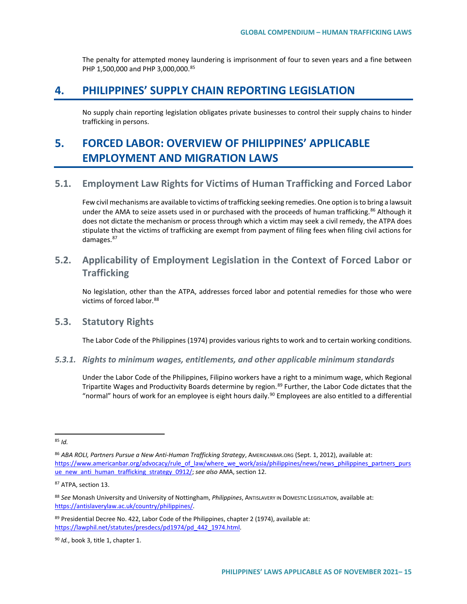The penalty for attempted money laundering is imprisonment of four to seven years and a fine between PHP 1,500,000 and PHP 3,000,000.<sup>[85](#page-14-0)</sup>

# **4. PHILIPPINES' SUPPLY CHAIN REPORTING LEGISLATION**

No supply chain reporting legislation obligates private businesses to control their supply chains to hinder trafficking in persons.

# **5. FORCED LABOR: OVERVIEW OF PHILIPPINES' APPLICABLE EMPLOYMENT AND MIGRATION LAWS**

## **5.1. Employment Law Rights for Victims of Human Trafficking and Forced Labor**

Few civil mechanisms are available to victims of trafficking seeking remedies. One option is to bring a lawsuit under the AMA to seize assets used in or purchased with the proceeds of human trafficking.<sup>[86](#page-14-1)</sup> Although it does not dictate the mechanism or process through which a victim may seek a civil remedy, the ATPA does stipulate that the victims of trafficking are exempt from payment of filing fees when filing civil actions for damages.<sup>87</sup>

# **5.2. Applicability of Employment Legislation in the Context of Forced Labor or Trafficking**

No legislation, other than the ATPA, addresses forced labor and potential remedies for those who were victims of forced labor.<sup>[88](#page-14-3)</sup>

## **5.3. Statutory Rights**

The Labor Code of the Philippines (1974) provides various rights to work and to certain working conditions.

#### *5.3.1. Rights to minimum wages, entitlements, and other applicable minimum standards*

Under the Labor Code of the Philippines, Filipino workers have a right to a minimum wage, which Regional Tripartite Wages and Productivity Boards determine by region.<sup>[89](#page-14-4)</sup> Further, the Labor Code dictates that the "normal" hours of work for an employee is eight hours daily.<sup>[90](#page-14-5)</sup> Employees are also entitled to a differential

<span id="page-14-0"></span> <sup>85</sup> *Id.*

<span id="page-14-1"></span><sup>86</sup> *ABA ROLI, Partners Pursue a New Anti-Human Trafficking Strategy*, AMERICANBAR.ORG (Sept. 1, 2012), available at: [https://www.americanbar.org/advocacy/rule\\_of\\_law/where\\_we\\_work/asia/philippines/news/news\\_philippines\\_partners\\_purs](https://www.americanbar.org/advocacy/rule_of_law/where_we_work/asia/philippines/news/news_philippines_partners_pursue_new_anti_human_trafficking_strategy_0912/) [ue\\_new\\_anti\\_human\\_trafficking\\_strategy\\_0912/;](https://www.americanbar.org/advocacy/rule_of_law/where_we_work/asia/philippines/news/news_philippines_partners_pursue_new_anti_human_trafficking_strategy_0912/) see also AMA, section 12.

<span id="page-14-2"></span><sup>87</sup> ATPA, section 13.

<span id="page-14-3"></span><sup>88</sup> *See* Monash University and University of Nottingham, *Philippines*, ANTISLAVERY IN DOMESTIC LEGISLATION, available at: [https://antislaverylaw.ac.uk/country/philippines/.](https://antislaverylaw.ac.uk/country/philippines/)

<span id="page-14-4"></span><sup>89</sup> Presidential Decree No. 422, Labor Code of the Philippines, chapter 2 (1974), available at: [https://lawphil.net/statutes/presdecs/pd1974/pd\\_442\\_1974.html.](https://lawphil.net/statutes/presdecs/pd1974/pd_442_1974.html)

<span id="page-14-5"></span><sup>90</sup> *Id.*, book 3, title 1, chapter 1.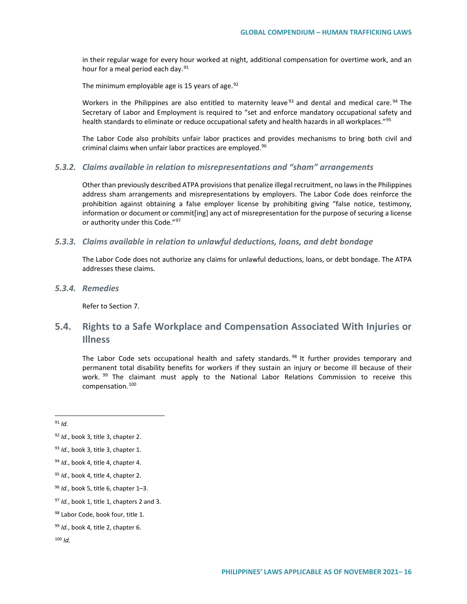in their regular wage for every hour worked at night, additional compensation for overtime work, and an hour for a meal period each day.<sup>[91](#page-15-0)</sup>

The minimum employable age is 15 years of age. $92$ 

Workers in the Philippines are also entitled to maternity leave<sup>[93](#page-15-2)</sup> and dental and medical care.<sup>[94](#page-15-3)</sup> The Secretary of Labor and Employment is required to "set and enforce mandatory occupational safety and health standards to eliminate or reduce occupational safety and health hazards in all workplaces."[95](#page-15-4)

The Labor Code also prohibits unfair labor practices and provides mechanisms to bring both civil and criminal claims when unfair labor practices are employed.<sup>[96](#page-15-5)</sup>

#### *5.3.2. Claims available in relation to misrepresentations and "sham" arrangements*

Other than previously described ATPA provisions that penalize illegal recruitment, no laws in the Philippines address sham arrangements and misrepresentations by employers. The Labor Code does reinforce the prohibition against obtaining a false employer license by prohibiting giving "false notice, testimony, information or document or commit[ing] any act of misrepresentation for the purpose of securing a license or authority under this Code."<sup>97</sup>

#### *5.3.3. Claims available in relation to unlawful deductions, loans, and debt bondage*

The Labor Code does not authorize any claims for unlawful deductions, loans, or debt bondage. The ATPA addresses these claims.

*5.3.4. Remedies*

Refer to Section 7.

# **5.4. Rights to a Safe Workplace and Compensation Associated With Injuries or Illness**

The Labor Code sets occupational health and safety standards.<sup>[98](#page-15-7)</sup> It further provides temporary and permanent total disability benefits for workers if they sustain an injury or become ill because of their work. <sup>[99](#page-15-8)</sup> The claimant must apply to the National Labor Relations Commission to receive this compensation.[100](#page-15-9)

<span id="page-15-1"></span><span id="page-15-0"></span><sup>92</sup> *Id.*, book 3, title 3, chapter 2.

<span id="page-15-2"></span><sup>93</sup> *Id.*, book 3, title 3, chapter 1.

<span id="page-15-3"></span><sup>94</sup> *Id.*, book 4, title 4, chapter 4.

<span id="page-15-4"></span><sup>95</sup> *Id.*, book 4, title 4, chapter 2.

<span id="page-15-5"></span><sup>96</sup> *Id.*, book 5, title 6, chapter 1–3.

<span id="page-15-6"></span><sup>97</sup> *Id.*, book 1, title 1, chapters 2 and 3.

<span id="page-15-7"></span><sup>98</sup> Labor Code, book four, title 1.

<span id="page-15-8"></span><sup>99</sup> *Id.*, book 4, title 2, chapter 6.

<span id="page-15-9"></span><sup>100</sup> *Id.*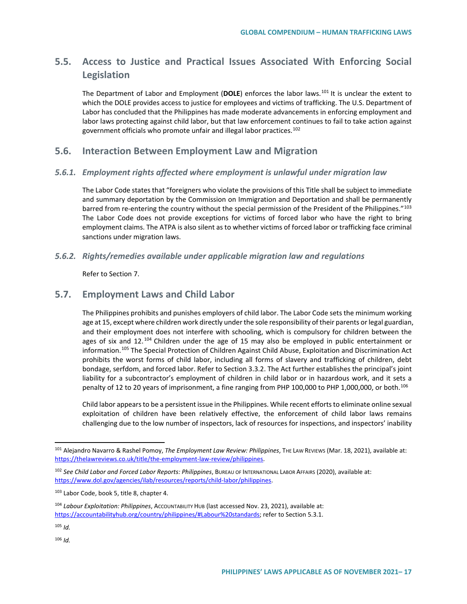# **5.5. Access to Justice and Practical Issues Associated With Enforcing Social Legislation**

The Department of Labor and Employment (**DOLE**) enforces the labor laws.[101](#page-16-0) It is unclear the extent to which the DOLE provides access to justice for employees and victims of trafficking. The U.S. Department of Labor has concluded that the Philippines has made moderate advancements in enforcing employment and labor laws protecting against child labor, but that law enforcement continues to fail to take action against government officials who promote unfair and illegal labor practices.<sup>[102](#page-16-1)</sup>

## **5.6. Interaction Between Employment Law and Migration**

### *5.6.1. Employment rights affected where employment is unlawful under migration law*

The Labor Code states that "foreigners who violate the provisions of this Title shall be subject to immediate and summary deportation by the Commission on Immigration and Deportation and shall be permanently barred from re-entering the country without the special permission of the President of the Philippines."<sup>[103](#page-16-2)</sup> The Labor Code does not provide exceptions for victims of forced labor who have the right to bring employment claims. The ATPA is also silent as to whether victims of forced labor or trafficking face criminal sanctions under migration laws.

### *5.6.2. Rights/remedies available under applicable migration law and regulations*

Refer to Section 7.

## **5.7. Employment Laws and Child Labor**

The Philippines prohibits and punishes employers of child labor. The Labor Code sets the minimum working age at 15, except where children work directly under the sole responsibility of their parents or legal guardian, and their employment does not interfere with schooling, which is compulsory for children between the ages of six and  $12.^{104}$  $12.^{104}$  $12.^{104}$  Children under the age of 15 may also be employed in public entertainment or information.[105](#page-16-4) The Special Protection of Children Against Child Abuse, Exploitation and Discrimination Act prohibits the worst forms of child labor, including all forms of slavery and trafficking of children, debt bondage, serfdom, and forced labor. Refer to Section 3.3.2. The Act further establishes the principal's joint liability for a subcontractor's employment of children in child labor or in hazardous work, and it sets a penalty of 12 to 20 years of imprisonment, a fine ranging from PHP 100,000 to PHP 1,000,000, or both.<sup>[106](#page-16-5)</sup>

Child labor appears to be a persistent issue in the Philippines. While recent efforts to eliminate online sexual exploitation of children have been relatively effective, the enforcement of child labor laws remains challenging due to the low number of inspectors, lack of resources for inspections, and inspectors' inability

<span id="page-16-0"></span> <sup>101</sup> Alejandro Navarro & Rashel Pomoy, *The Employment Law Review: Philippines*, THE LAW REVIEWS (Mar. 18, 2021), available at: [https://thelawreviews.co.uk/title/the-employment-law-review/philippines.](https://thelawreviews.co.uk/title/the-employment-law-review/philippines)

<span id="page-16-1"></span><sup>102</sup> *See Child Labor and Forced Labor Reports: Philippines*, BUREAU OF INTERNATIONAL LABOR AFFAIRS (2020), available at: [https://www.dol.gov/agencies/ilab/resources/reports/child-labor/philippines.](https://www.dol.gov/agencies/ilab/resources/reports/child-labor/philippines)

<span id="page-16-2"></span><sup>103</sup> Labor Code, book 5, title 8, chapter 4.

<span id="page-16-3"></span><sup>104</sup> *Labour Exploitation: Philippines*, ACCOUNTABILITY HUB (last accessed Nov. 23, 2021), available at: [https://accountabilityhub.org/country/philippines/#Labour%20standards;](https://accountabilityhub.org/country/philippines/#Labour%20standards) refer to Section 5.3.1.

<span id="page-16-5"></span><span id="page-16-4"></span><sup>105</sup> *Id.*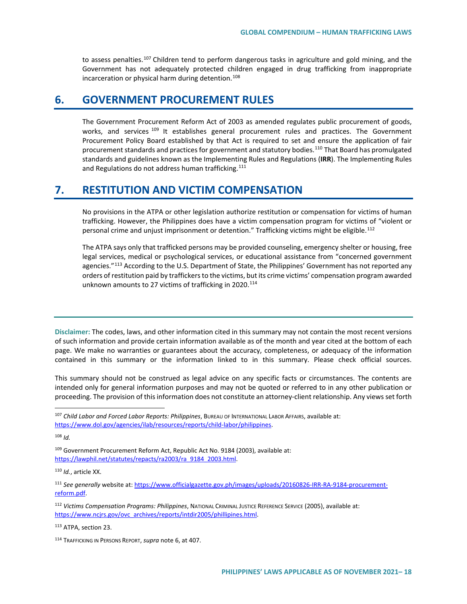to assess penalties.<sup>[107](#page-17-0)</sup> Children tend to perform dangerous tasks in agriculture and gold mining, and the Government has not adequately protected children engaged in drug trafficking from inappropriate incarceration or physical harm during detention.<sup>[108](#page-17-1)</sup>

# **6. GOVERNMENT PROCUREMENT RULES**

The Government Procurement Reform Act of 2003 as amended regulates public procurement of goods, works, and services <sup>[109](#page-17-2)</sup> It establishes general procurement rules and practices. The Government Procurement Policy Board established by that Act is required to set and ensure the application of fair procurement standards and practices for government and statutory bodies.<sup>[110](#page-17-3)</sup> That Board has promulgated standards and guidelines known as the Implementing Rules and Regulations (**IRR**). The Implementing Rules and Regulations do not address human trafficking.<sup>[111](#page-17-4)</sup>

# **7. RESTITUTION AND VICTIM COMPENSATION**

No provisions in the ATPA or other legislation authorize restitution or compensation for victims of human trafficking. However, the Philippines does have a victim compensation program for victims of "violent or personal crime and unjust imprisonment or detention." Trafficking victims might be eligible.<sup>[112](#page-17-5)</sup>

The ATPA says only that trafficked persons may be provided counseling, emergency shelter or housing, free legal services, medical or psychological services, or educational assistance from "concerned government agencies."<sup>[113](#page-17-6)</sup> According to the U.S. Department of State, the Philippines' Government has not reported any orders of restitution paid by traffickers to the victims, but its crime victims' compensation program awarded unknown amounts to 27 victims of trafficking in 2020.<sup>114</sup>

**Disclaimer:** The codes, laws, and other information cited in this summary may not contain the most recent versions of such information and provide certain information available as of the month and year cited at the bottom of each page. We make no warranties or guarantees about the accuracy, completeness, or adequacy of the information contained in this summary or the information linked to in this summary. Please check official sources.

This summary should not be construed as legal advice on any specific facts or circumstances. The contents are intended only for general information purposes and may not be quoted or referred to in any other publication or proceeding. The provision of this information does not constitute an attorney-client relationship. Any views set forth

<span id="page-17-1"></span><sup>108</sup> *Id.*

<span id="page-17-2"></span><sup>109</sup> Government Procurement Reform Act, Republic Act No. 9184 (2003), available at: [https://lawphil.net/statutes/repacts/ra2003/ra\\_9184\\_2003.html.](https://lawphil.net/statutes/repacts/ra2003/ra_9184_2003.html)

<span id="page-17-3"></span><sup>110</sup> *Id.*, article XX.

<span id="page-17-4"></span><sup>111</sup> *See generally* website at[: https://www.officialgazette.gov.ph/images/uploads/20160826-IRR-RA-9184-procurement](https://www.officialgazette.gov.ph/images/uploads/20160826-IRR-RA-9184-procurement-reform.pdf)[reform.pdf.](https://www.officialgazette.gov.ph/images/uploads/20160826-IRR-RA-9184-procurement-reform.pdf)

<span id="page-17-5"></span><sup>112</sup> *Victims Compensation Programs: Philippines*, NATIONAL CRIMINAL JUSTICE REFERENCE SERVICE (2005), available at: [https://www.ncjrs.gov/ovc\\_archives/reports/intdir2005/phillipines.html.](https://www.ncjrs.gov/ovc_archives/reports/intdir2005/phillipines.html)

<span id="page-17-6"></span><sup>113</sup> ATPA, section 23.

<span id="page-17-7"></span><sup>114</sup> TRAFFICKING IN PERSONS REPORT, *supra* note 6, at 407.

<span id="page-17-0"></span> <sup>107</sup> *Child Labor and Forced Labor Reports: Philippines*, BUREAU OF INTERNATIONAL LABOR AFFAIRS, available at: [https://www.dol.gov/agencies/ilab/resources/reports/child-labor/philippines.](https://www.dol.gov/agencies/ilab/resources/reports/child-labor/philippines)